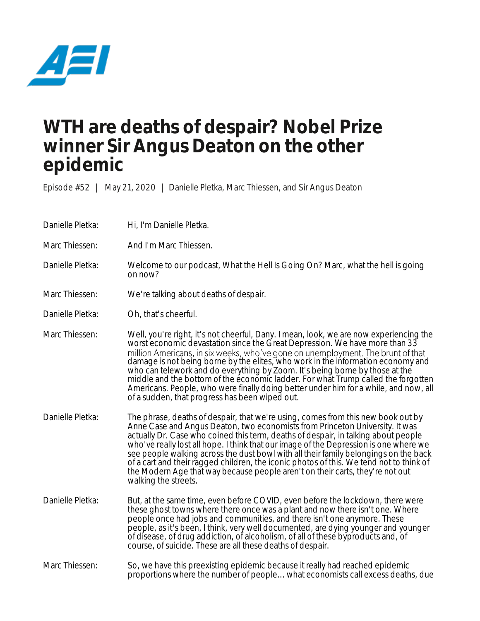

## **WTH are deaths of despair? Nobel Prize winner Sir Angus Deaton on the other epidemic**

Episode #52 | May 21, 2020 | Danielle Pletka, Marc Thiessen, and Sir Angus Deaton

- Danielle Pletka: Hi, I'm Danielle Pletka.
- Marc Thiessen: And I'm Marc Thiessen.

Danielle Pletka: Welcome to our podcast, What the Hell Is Going On? Marc, what the hell is going on now?

- Marc Thiessen: We're talking about deaths of despair.
- Danielle Pletka: Oh, that's cheerful.
- Marc Thiessen: Well, you're right, it's not cheerful, Dany. I mean, look, we are now experiencing the worst economic devastation since the Great Depression. We have more than 33<br>million Americans, in six weeks, who've gone on unemployment. The brunt of that damage is not being borne by the elites, who work in the information economy and who can telework and do everything by Zoom. It's being borne by those at the middle and the bottom of the economic ladder. For what Trump called the forgotten Americans. People, who were finally doing better under him for a while, and now, all of a sudden, that progress has been wiped out.
- Danielle Pletka: The phrase, deaths of despair, that we're using, comes from this new book out by Anne Case and Angus Deaton, two economists from Princeton University. It was actually Dr. Case who coined this term, deaths of despair, in talking about people who've really lost all hope. I think that our image of the Depression is one where we see people walking across the dust bowl with all their family belongings on the back of a cart and their ragged children, the iconic photos of this. We tend not to think of the Modern Age that way because people aren't on their carts, they're not out walking the streets.
- Danielle Pletka: But, at the same time, even before COVID, even before the lockdown, there were these ghost towns where there once was a plant and now there isn't one. Where people once had jobs and communities, and there isn't one anymore. These people, as it's been, I think, very well documented, are dying younger and younger of disease, of drug addiction, of alcoholism, of all of these byproducts and, of course, of suicide. These are all these deaths of despair.
- Marc Thiessen: So, we have this preexisting epidemic because it really had reached epidemic proportions where the number of people... what economists call excess deaths, due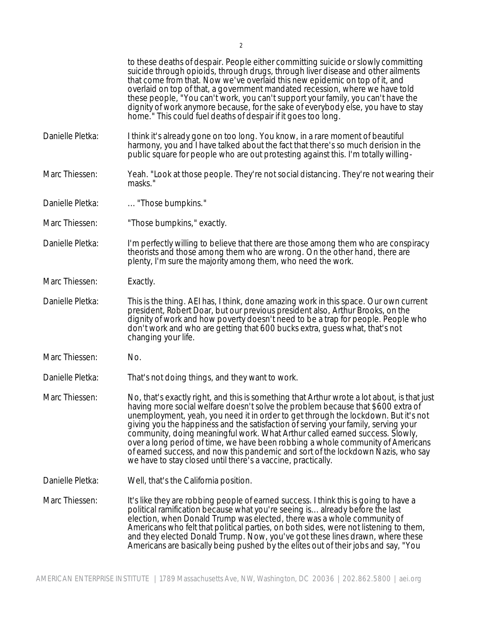|                  | to these deaths of despair. People either committing suicide or slowly committing<br>suicide through opioids, through drugs, through liver disease and other ailments<br>that come from that. Now we've overlaid this new epidemic on top of it, and<br>overlaid on top of that, a government mandated recession, where we have told<br>these people, "You can't work, you can't support your family, you can't have the<br>dignity of work anymore because, for the sake of everybody else, you have to stay<br>home." This could fuel deaths of despair if it goes too long.                                                                                                     |
|------------------|------------------------------------------------------------------------------------------------------------------------------------------------------------------------------------------------------------------------------------------------------------------------------------------------------------------------------------------------------------------------------------------------------------------------------------------------------------------------------------------------------------------------------------------------------------------------------------------------------------------------------------------------------------------------------------|
| Danielle Pletka: | I think it's already gone on too long. You know, in a rare moment of beautiful<br>harmony, you and I have talked about the fact that there's so much derision in the<br>public square for people who are out protesting against this. I'm totally willing-                                                                                                                                                                                                                                                                                                                                                                                                                         |
| Marc Thiessen:   | Yeah. "Look at those people. They're not social distancing. They're not wearing their<br>masks."                                                                                                                                                                                                                                                                                                                                                                                                                                                                                                                                                                                   |
| Danielle Pletka: | "Those bumpkins."                                                                                                                                                                                                                                                                                                                                                                                                                                                                                                                                                                                                                                                                  |
| Marc Thiessen:   | "Those bumpkins," exactly.                                                                                                                                                                                                                                                                                                                                                                                                                                                                                                                                                                                                                                                         |
| Danielle Pletka: | I'm perfectly willing to believe that there are those among them who are conspiracy<br>theorists and those among them who are wrong. On the other hand, there are<br>plenty, I'm sure the majority among them, who need the work.                                                                                                                                                                                                                                                                                                                                                                                                                                                  |
| Marc Thiessen:   | Exactly.                                                                                                                                                                                                                                                                                                                                                                                                                                                                                                                                                                                                                                                                           |
| Danielle Pletka: | This is the thing. AEI has, I think, done amazing work in this space. Our own current<br>president, Robert Doar, but our previous president also, Arthur Brooks, on the<br>dignity of work and how poverty doesn't need to be a trap for people. People who<br>don't work and who are getting that 600 bucks extra, guess what, that's not<br>changing your life.                                                                                                                                                                                                                                                                                                                  |
| Marc Thiessen:   | No.                                                                                                                                                                                                                                                                                                                                                                                                                                                                                                                                                                                                                                                                                |
| Danielle Pletka: | That's not doing things, and they want to work.                                                                                                                                                                                                                                                                                                                                                                                                                                                                                                                                                                                                                                    |
| Marc Thiessen:   | No, that's exactly right, and this is something that Arthur wrote a lot about, is that just<br>having more social welfare doesn't solve the problem because that \$600 extra of<br>unemployment, yeah, you need it in order to get through the lockdown. But it's not<br>giving you the happiness and the satisfaction of serving your family, serving your<br>community, doing meaningful work. What Arthur called earned success. Slowly,<br>over a long period of time, we have been robbing a whole community of Americans<br>of earned success, and now this pandemic and sort of the lockdown Nazis, who say<br>we have to stay closed until there's a vaccine, practically. |
| Danielle Pletka: | Well, that's the California position.                                                                                                                                                                                                                                                                                                                                                                                                                                                                                                                                                                                                                                              |
| Marc Thiessen:   | It's like they are robbing people of earned success. I think this is going to have a<br>political ramification because what you're seeing is already before the last<br>election, when Donald Trump was elected, there was a whole community of<br>Americans who felt that political parties, on both sides, were not listening to them,<br>and they elected Donald Trump. Now, you've got these lines drawn, where these<br>Americans are basically being pushed by the elites out of their jobs and say, "You                                                                                                                                                                    |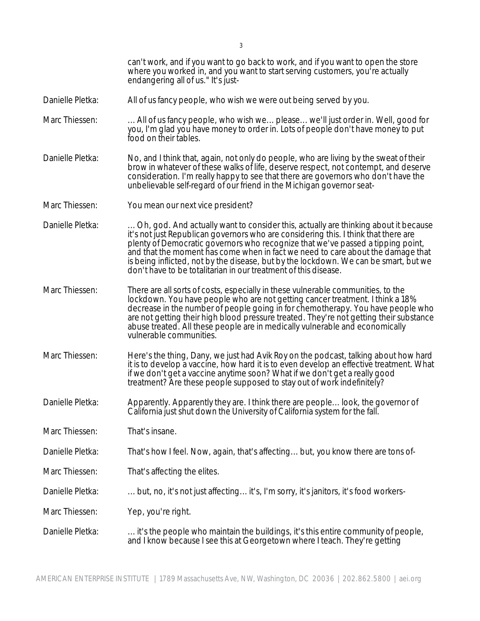|                  | can't work, and if you want to go back to work, and if you want to open the store<br>where you worked in, and you want to start serving customers, you're actually<br>endangering all of us." It's just-                                                                                                                                                                                                                                                                                                    |
|------------------|-------------------------------------------------------------------------------------------------------------------------------------------------------------------------------------------------------------------------------------------------------------------------------------------------------------------------------------------------------------------------------------------------------------------------------------------------------------------------------------------------------------|
| Danielle Pletka: | All of us fancy people, who wish we were out being served by you.                                                                                                                                                                                                                                                                                                                                                                                                                                           |
| Marc Thiessen:   | All of us fancy people, who wish we please we'll just order in. Well, good for<br>you, I'm glad you have money to order in. Lots of people don't have money to put<br>food on their tables.                                                                                                                                                                                                                                                                                                                 |
| Danielle Pletka: | No, and I think that, again, not only do people, who are living by the sweat of their<br>brow in whatever of these walks of life, deserve respect, not contempt, and deserve<br>consideration. I'm really happy to see that there are governors who don't have the<br>unbelievable self-regard of our friend in the Michigan governor seat-                                                                                                                                                                 |
| Marc Thiessen:   | You mean our next vice president?                                                                                                                                                                                                                                                                                                                                                                                                                                                                           |
| Danielle Pletka: | Oh, god. And actually want to consider this, actually are thinking about it because<br>it's not just Republican governors who are considering this. I think that there are<br>plenty of Democratic governors who recognize that we've passed a tipping point,<br>and that the moment has come when in fact we need to care about the damage that<br>is being inflicted, not by the disease, but by the lockdown. We can be smart, but we<br>don't have to be totalitarian in our treatment of this disease. |
| Marc Thiessen:   | There are all sorts of costs, especially in these vulnerable communities, to the<br>lockdown. You have people who are not getting cancer treatment. I think a 18%<br>decrease in the number of people going in for chemotherapy. You have people who<br>are not getting their high blood pressure treated. They're not getting their substance<br>abuse treated. All these people are in medically vulnerable and economically<br>vulnerable communities.                                                   |
| Marc Thiessen:   | Here's the thing, Dany, we just had Avik Roy on the podcast, talking about how hard<br>it is to develop a vaccine, how hard it is to even develop an effective treatment. What<br>if we don't get a vaccine anytime soon? What if we don't get a really good<br>treatment? Are these people supposed to stay out of work indefinitely?                                                                                                                                                                      |
| Danielle Pletka: | Apparently. Apparently they are. I think there are people look, the governor of California just shut down the University of California system for the fall.                                                                                                                                                                                                                                                                                                                                                 |
| Marc Thiessen:   | That's insane.                                                                                                                                                                                                                                                                                                                                                                                                                                                                                              |
| Danielle Pletka: | That's how I feel. Now, again, that's affecting but, you know there are tons of-                                                                                                                                                                                                                                                                                                                                                                                                                            |
| Marc Thiessen:   | That's affecting the elites.                                                                                                                                                                                                                                                                                                                                                                                                                                                                                |
| Danielle Pletka: | but, no, it's not just affecting it's, I'm sorry, it's janitors, it's food workers-                                                                                                                                                                                                                                                                                                                                                                                                                         |
| Marc Thiessen:   | Yep, you're right.                                                                                                                                                                                                                                                                                                                                                                                                                                                                                          |
| Danielle Pletka: | it's the people who maintain the buildings, it's this entire community of people,<br>and I know because I see this at Georgetown where I teach. They're getting                                                                                                                                                                                                                                                                                                                                             |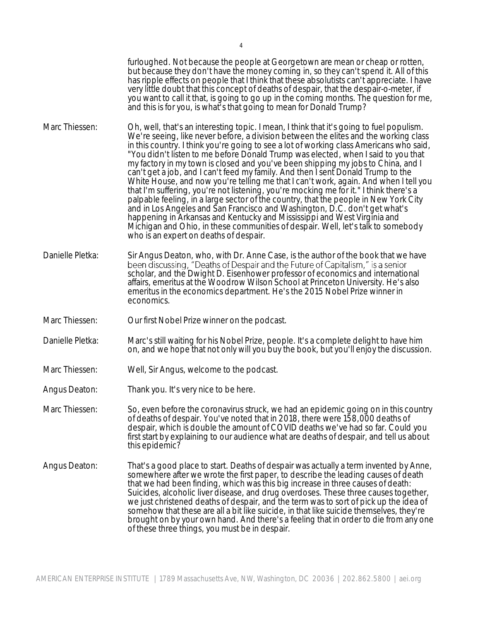furloughed. Not because the people at Georgetown are mean or cheap or rotten, but because they don't have the money coming in, so they can't spend it. All of this has ripple effects on people that I think that these absolutists can't appreciate. I have very little doubt that this concept of deaths of despair, that the despair-o-meter, if you want to call it that, is going to go up in the coming months. The question for me, and this is for you, is what's that going to mean for Donald Trump?

- Marc Thiessen: Oh, well, that's an interesting topic. I mean, I think that it's going to fuel populism. We're seeing, like never before, a division between the elites and the working class in this country. I think you're going to see a lot of working class Americans who said, "You didn't listen to me before Donald Trump was elected, when I said to you that my factory in my town is closed and you've been shipping my jobs to China, and I can't get a job, and I can't feed my family. And then I sent Donald Trump to the White House, and now you're telling me that I can't work, again. And when I tell you that I'm suffering, you're not listening, you're mocking me for it." I think there's a palpable feeling, in a large sector of the country, that the people in New York City and in Los Angeles and San Francisco and Washington, D.C. don't get what's happening in Arkansas and Kentucky and Mississippi and West Virginia and Michigan and Ohio, in these communities of despair. Well, let's talk to somebody who is an expert on deaths of despair.
- Danielle Pletka: Sir Angus Deaton, who, with Dr. Anne Case, is the author of the book that we have scholar, and the Dwight D. Eisenhower professor of economics and international affairs, emeritus at the Woodrow Wilson School at Princeton University. He's also emeritus in the economics department. He's the 2015 Nobel Prize winner in economics.
- Marc Thiessen: Our first Nobel Prize winner on the podcast.
- Danielle Pletka: Marc's still waiting for his Nobel Prize, people. It's a complete delight to have him on, and we hope that not only will you buy the book, but you'll enjoy the discussion.
- Marc Thiessen: Well, Sir Angus, welcome to the podcast.
- Angus Deaton: Thank you. It's very nice to be here.
- Marc Thiessen: So, even before the coronavirus struck, we had an epidemic going on in this country of deaths of despair. You've noted that in 2018, there were 158,000 deaths of despair, which is double the amount of COVID deaths we've had so far. Could you first start by explaining to our audience what are deaths of despair, and tell us about this epidemic?
- Angus Deaton: That's a good place to start. Deaths of despair was actually a term invented by Anne, somewhere after we wrote the first paper, to describe the leading causes of death that we had been finding, which was this big increase in three causes of death: Suicides, alcoholic liver disease, and drug overdoses. These three causes together, we just christened deaths of despair, and the term was to sort of pick up the idea of somehow that these are all a bit like suicide, in that like suicide themselves, they're brought on by your own hand. And there's a feeling that in order to die from any one of these three things, you must be in despair.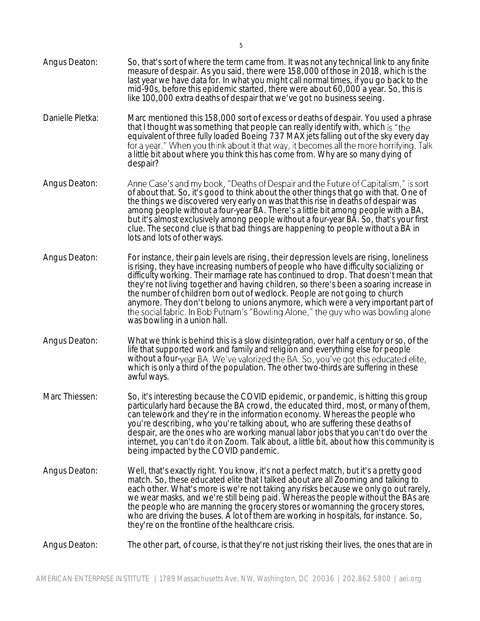- measure of despair. As you said, there were 158,000 of those in 2018, which is the last year we have data for. In what you might call normal times, if you go back to the mid-90s, before this epidemic started, there were about 60,000 a year. So, this is like 100,000 extra deaths of despair that we've got no business seeing. Danielle Pletka: Marc mentioned this 158,000 sort of excess or deaths of despair. You used a phrase that I thought was something that people can really identify with, which equivalent of three fully loaded Boeing 737 MAX jets falling out of the sky every day for a year." When you think about it that way, it becomes all the more horrifying. Talk a little bit about where you think this has come from. Why are so many dying of despair? Angus Deaton: Anne Case's and my book, "Deaths of Despair and the Future of Capitalism," is sort<br>of about that. So, it's good to think about the other things that go with that. One of the things we discovered very early on was that this rise in deaths of despair was among people without a four-year BA. There's a little bit among people with a BA, but it's almost exclusively among people without a four-year BA. So, that's your first clue. The second clue is that bad things are happening to people without a BA in lots and lots of other ways. Angus Deaton: For instance, their pain levels are rising, their depression levels are rising, loneliness is rising, they have increasing numbers of people who have difficulty socializing or difficulty working. Their marriage rate has continued to drop. That doesn't mean that they're not living together and having children, so there's been a soaring increase in the number of children born out of wedlock. People are not going to church anymore. They don't belong to unions anymore, which were a very important part of<br>the social fabric. In Bob Putnam's "Bowling Alone," the guy who was bowling alone was bowling in a union hall. Angus Deaton: What we think is behind this is a slow disintegration, over half a century or so, of the life that supported work and family and religion and everything else for people without a four-year BA. We ve valorized the BA. So, you've got this educated elite, which is only a third of the population. The other two-thirds are suffering in these awful ways. Marc Thiessen: So, it's interesting because the COVID epidemic, or pandemic, is hitting this group particularly hard because the BA crowd, the educated third, most, or many of them, can telework and they're in the information economy. Whereas the people who you're describing, who you're talking about, who are suffering these deaths of despair, are the ones who are working manual labor jobs that you can't do over the internet, you can't do it on Zoom. Talk about, a little bit, about how this community is being impacted by the COVID pandemic. Angus Deaton: Well, that's exactly right. You know, it's not a perfect match, but it's a pretty good
- match. So, these educated elite that I talked about are all Zooming and talking to each other. What's more is we're not taking any risks because we only go out rarely, we wear masks, and we're still being paid. Whereas the people without the BAs are the people who are manning the grocery stores or womanning the grocery stores, who are driving the buses. A lot of them are working in hospitals, for instance. So, they're on the frontline of the healthcare crisis.

## Angus Deaton: The other part, of course, is that they're not just risking their lives, the ones that are in

Angus Deaton: So, that's sort of where the term came from. It was not any technical link to any finite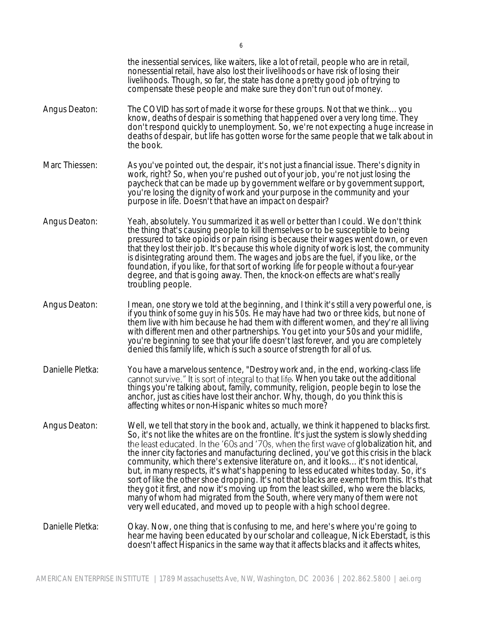|                  | the inessential services, like waiters, like a lot of retail, people who are in retail,<br>nonessential retail, have also lost their livelihoods or have risk of losing their<br>livelihoods. Though, so far, the state has done a pretty good job of trying to<br>compensate these people and make sure they don't run out of money.                                                                                                                                                                                                                                                                                                                                                                                                                                                                                                                                                                       |
|------------------|-------------------------------------------------------------------------------------------------------------------------------------------------------------------------------------------------------------------------------------------------------------------------------------------------------------------------------------------------------------------------------------------------------------------------------------------------------------------------------------------------------------------------------------------------------------------------------------------------------------------------------------------------------------------------------------------------------------------------------------------------------------------------------------------------------------------------------------------------------------------------------------------------------------|
| Angus Deaton:    | The COVID has sort of made it worse for these groups. Not that we think you<br>know, deaths of despair is something that happened over a very long time. They<br>don't respond quickly to unemployment. So, we're not expecting a huge increase in<br>deaths of despair, but life has gotten worse for the same people that we talk about in<br>the book.                                                                                                                                                                                                                                                                                                                                                                                                                                                                                                                                                   |
| Marc Thiessen:   | As you've pointed out, the despair, it's not just a financial issue. There's dignity in<br>work, right? So, when you're pushed out of your job, you're not just losing the<br>paycheck that can be made up by government welfare or by government support,<br>you're losing the dignity of work and your purpose in the community and your<br>purpose in life. Doesn't that have an impact on despair?                                                                                                                                                                                                                                                                                                                                                                                                                                                                                                      |
| Angus Deaton:    | Yeah, absolutely. You summarized it as well or better than I could. We don't think<br>the thing that's causing people to kill themselves or to be susceptible to being<br>pressured to take opioids or pain rising is because their wages went down, or even<br>that they lost their job. It's because this whole dignity of work is lost, the community<br>is disintegrating around them. The wages and jobs are the fuel, if you like, or the<br>foundation, if you like, for that sort of working life for people without a four-year<br>degree, and that is going away. Then, the knock-on effects are what's really<br>troubling people.                                                                                                                                                                                                                                                               |
| Angus Deaton:    | I mean, one story we told at the beginning, and I think it's still a very powerful one, is<br>if you think of some guy in his 50s. He may have had two or three kids, but none of<br>them live with him because he had them with different women, and they're all living<br>with different men and other partnerships. You get into your 50s and your midlife,<br>you're beginning to see that your life doesn't last forever, and you are completely<br>denied this family life, which is such a source of strength for all of us.                                                                                                                                                                                                                                                                                                                                                                         |
| Danielle Pletka: | You have a marvelous sentence, "Destroy work and, in the end, working-class life<br>cannot survive." It is sort of integral to that life. When you take out the additional<br>things you're talking about, family, community, religion, people begin to lose the<br>anchor, just as cities have lost their anchor. Why, though, do you think this is<br>affecting whites or non-Hispanic whites so much more?                                                                                                                                                                                                                                                                                                                                                                                                                                                                                               |
| Angus Deaton:    | Well, we tell that story in the book and, actually, we think it happened to blacks first.<br>So, it's not like the whites are on the frontline. It's just the system is slowly shedding<br>the least educated. In the '60s and '70s, when the first wave of globalization hit, and<br>the inner city factories and manufacturing declined, you've got this crisis in the black<br>community, which there's extensive literature on, and it looks it's not identical,<br>but, in many respects, it's what's happening to less educated whites today. So, it's<br>sort of like the other shoe dropping. It's not that blacks are exempt from this. It's that<br>they got it first, and now it's moving up from the least skilled, who were the blacks,<br>many of whom had migrated from the South, where very many of them were not<br>very well educated, and moved up to people with a high school degree. |
| Danielle Pletka: | Okay. Now, one thing that is confusing to me, and here's where you're going to<br>hear me having been educated by our scholar and colleague, Nick Eberstadt, is this<br>doesn't affect Hispanics in the same way that it affects blacks and it affects whites,                                                                                                                                                                                                                                                                                                                                                                                                                                                                                                                                                                                                                                              |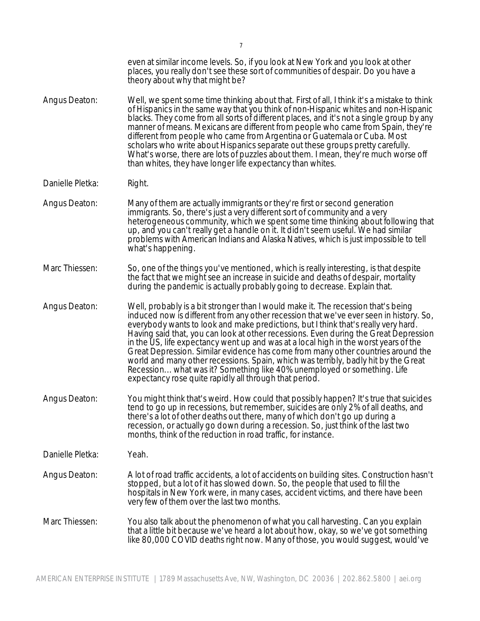|                  | even at similar income levels. So, if you look at New York and you look at other<br>places, you really don't see these sort of communities of despair. Do you have a<br>theory about why that might be?                                                                                                                                                                                                                                                                                                                                                                                                                                                                                                                                                          |
|------------------|------------------------------------------------------------------------------------------------------------------------------------------------------------------------------------------------------------------------------------------------------------------------------------------------------------------------------------------------------------------------------------------------------------------------------------------------------------------------------------------------------------------------------------------------------------------------------------------------------------------------------------------------------------------------------------------------------------------------------------------------------------------|
| Angus Deaton:    | Well, we spent some time thinking about that. First of all, I think it's a mistake to think<br>of Hispanics in the same way that you think of non-Hispanic whites and non-Hispanic<br>blacks. They come from all sorts of different places, and it's not a single group by any<br>manner of means. Mexicans are different from people who came from Spain, they're<br>different from people who came from Argentina or Guatemala or Cuba. Most<br>scholars who write about Hispanics separate out these groups pretty carefully.<br>What's worse, there are lots of puzzles about them. I mean, they're much worse off<br>than whites, they have longer life expectancy than whites.                                                                             |
| Danielle Pletka: | Right.                                                                                                                                                                                                                                                                                                                                                                                                                                                                                                                                                                                                                                                                                                                                                           |
| Angus Deaton:    | Many of them are actually immigrants or they're first or second generation<br>immigrants. So, there's just a very different sort of community and a very<br>heterogeneous community, which we spent some time thinking about following that<br>up, and you can't really get a handle on it. It didn't seem useful. We had similar<br>problems with American Indians and Alaska Natives, which is just impossible to tell<br>what's happening.                                                                                                                                                                                                                                                                                                                    |
| Marc Thiessen:   | So, one of the things you've mentioned, which is really interesting, is that despite<br>the fact that we might see an increase in suicide and deaths of despair, mortality<br>during the pandemic is actually probably going to decrease. Explain that.                                                                                                                                                                                                                                                                                                                                                                                                                                                                                                          |
| Angus Deaton:    | Well, probably is a bit stronger than I would make it. The recession that's being<br>induced now is different from any other recession that we've ever seen in history. So,<br>everybody wants to look and make predictions, but I think that's really very hard.<br>Having said that, you can look at other recessions. Even during the Great Depression<br>in the US, life expectancy went up and was at a local high in the worst years of the<br>Great Depression. Similar evidence has come from many other countries around the<br>world and many other recessions. Spain, which was terribly, badly hit by the Great<br>Recession what was it? Something like 40% unemployed or something. Life<br>expectancy rose quite rapidly all through that period. |
| Angus Deaton:    | You might think that's weird. How could that possibly happen? It's true that suicides<br>tend to go up in recessions, but remember, suicides are only 2% of all deaths, and<br>there's a lot of other deaths out there, many of which don't go up during a<br>recession, or actually go down during a recession. So, just think of the last two<br>months, think of the reduction in road traffic, for instance.                                                                                                                                                                                                                                                                                                                                                 |
| Danielle Pletka: | Yeah.                                                                                                                                                                                                                                                                                                                                                                                                                                                                                                                                                                                                                                                                                                                                                            |
| Angus Deaton:    | A lot of road traffic accidents, a lot of accidents on building sites. Construction hasn't<br>stopped, but a lot of it has slowed down. So, the people that used to fill the<br>hospitals in New York were, in many cases, accident victims, and there have been<br>very few of them over the last two months.                                                                                                                                                                                                                                                                                                                                                                                                                                                   |
| Marc Thiessen:   | You also talk about the phenomenon of what you call harvesting. Can you explain<br>that a little bit because we've heard a lot about how, okay, so we've got something<br>like 80,000 COVID deaths right now. Many of those, you would suggest, would've                                                                                                                                                                                                                                                                                                                                                                                                                                                                                                         |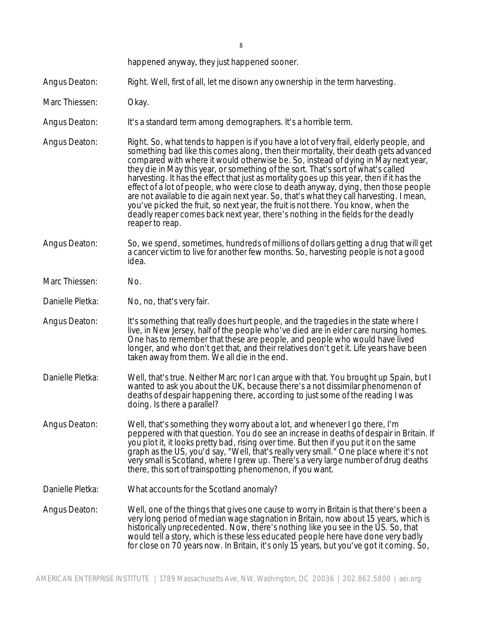happened anyway, they just happened sooner.

Angus Deaton: Right. Well, first of all, let me disown any ownership in the term harvesting.

- Marc Thiessen: Okay.
- Angus Deaton: It's a standard term among demographers. It's a horrible term.
- Angus Deaton: Right. So, what tends to happen is if you have a lot of very frail, elderly people, and something bad like this comes along, then their mortality, their death gets advanced compared with where it would otherwise be. So, instead of dying in May next year, they die in May this year, or something of the sort. That's sort of what's called harvesting. It has the effect that just as mortality goes up this year, then if it has the effect of a lot of people, who were close to death anyway, dying, then those people are not available to die again next year. So, that's what they call harvesting. I mean, you've picked the fruit, so next year, the fruit is not there. You know, when the deadly reaper comes back next year, there's nothing in the fields for the deadly reaper to reap.
- Angus Deaton: So, we spend, sometimes, hundreds of millions of dollars getting a drug that will get a cancer victim to live for another few months. So, harvesting people is not a good idea.
- Marc Thiessen: No.

Danielle Pletka: No, no, that's very fair.

- Angus Deaton: It's something that really does hurt people, and the tragedies in the state where I live, in New Jersey, half of the people who've died are in elder care nursing homes. One has to remember that these are people, and people who would have lived longer, and who don't get that, and their relatives don't get it. Life years have been taken away from them. We all die in the end.
- Danielle Pletka: Well, that's true. Neither Marc nor I can argue with that. You brought up Spain, but I wanted to ask you about the UK, because there's a not dissimilar phenomenon of deaths of despair happening there, according to just some of the reading I was doing. Is there a parallel?
- Angus Deaton: Well, that's something they worry about a lot, and whenever I go there, I'm peppered with that question. You do see an increase in deaths of despair in Britain. If you plot it, it looks pretty bad, rising over time. But then if you put it on the same graph as the US, you'd say, "Well, that's really very small." One place where it's not very small is Scotland, where I grew up. There's a very large number of drug deaths there, this sort of trainspotting phenomenon, if you want.

Danielle Pletka: What accounts for the Scotland anomaly?

Angus Deaton: Well, one of the things that gives one cause to worry in Britain is that there's been a very long period of median wage stagnation in Britain, now about 15 years, which is historically unprecedented. Now, there's nothing like you see in the US. So, that would tell a story, which is these less educated people here have done very badly for close on 70 years now. In Britain, it's only 15 years, but you've got it coming. So,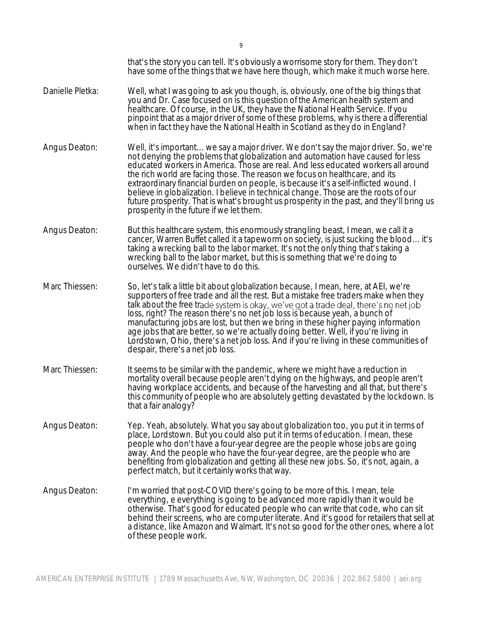|                  | that's the story you can tell. It's obviously a worrisome story for them. They don't<br>have some of the things that we have here though, which make it much worse here.                                                                                                                                                                                                                                                                                                                                                                                                                                                                                           |
|------------------|--------------------------------------------------------------------------------------------------------------------------------------------------------------------------------------------------------------------------------------------------------------------------------------------------------------------------------------------------------------------------------------------------------------------------------------------------------------------------------------------------------------------------------------------------------------------------------------------------------------------------------------------------------------------|
| Danielle Pletka: | Well, what I was going to ask you though, is, obviously, one of the big things that<br>you and Dr. Case focused on is this question of the American health system and<br>healthcare. Of course, in the UK, they have the National Health Service. If you<br>pinpoint that as a major driver of some of these problems, why is there a differential<br>when in fact they have the National Health in Scotland as they do in England?                                                                                                                                                                                                                                |
| Angus Deaton:    | Well, it's important we say a major driver. We don't say the major driver. So, we're<br>not denying the problems that globalization and automation have caused for less<br>educated workers in America. Those are real. And less educated workers all around<br>the rich world are facing those. The reason we focus on healthcare, and its<br>extraordinary financial burden on people, is because it's a self-inflicted wound. I<br>believe in globalization. I believe in technical change. Those are the roots of our<br>future prosperity. That is what's brought us prosperity in the past, and they'll bring us<br>prosperity in the future if we let them. |
| Angus Deaton:    | But this healthcare system, this enormously strangling beast, I mean, we call it a<br>cancer, Warren Buffet called it a tapeworm on society, is just sucking the blood it's<br>taking a wrecking ball to the labor market. It's not the only thing that's taking a<br>wrecking ball to the labor market, but this is something that we're doing to<br>ourselves. We didn't have to do this.                                                                                                                                                                                                                                                                        |
| Marc Thiessen:   | So, let's talk a little bit about globalization because, I mean, here, at AEI, we're<br>supporters of free trade and all the rest. But a mistake free traders make when they<br>talk about the free trade system is okay, we've got a trade deal, there's no net job<br>loss, right? The reason there's no net job loss is because yeah, a bunch of<br>manufacturing jobs are lost, but then we bring in these higher paying information<br>age jobs that are better, so we're actually doing better. Well, if you're living in<br>Lordstown, Ohio, there's a net job loss. And if you're living in these communities of<br>despair, there's a net job loss.       |
| Marc Thiessen:   | It seems to be similar with the pandemic, where we might have a reduction in<br>mortality overall because people aren't dying on the highways, and people aren't<br>having workplace accidents, and because of the harvesting and all that, but there's<br>this community of people who are absolutely getting devastated by the lockdown. Is<br>that a fair analogy?                                                                                                                                                                                                                                                                                              |
| Angus Deaton:    | Yep. Yeah, absolutely. What you say about globalization too, you put it in terms of<br>place, Lordstown. But you could also put it in terms of education. I mean, these<br>people who don't have a four-year degree are the people whose jobs are going<br>away. And the people who have the four-year degree, are the people who are<br>benefiting from globalization and getting all these new jobs. So, it's not, again, a<br>perfect match, but it certainly works that way.                                                                                                                                                                                   |
| Angus Deaton:    | I'm worried that post-COVID there's going to be more of this. I mean, tele<br>everything, e everything is going to be advanced more rapidly than it would be<br>otherwise. That's good for educated people who can write that code, who can sit<br>behind their screens, who are computer literate. And it's good for retailers that sell at<br>a distance, like Amazon and Walmart. It's not so good for the other ones, where a lot<br>of these people work.                                                                                                                                                                                                     |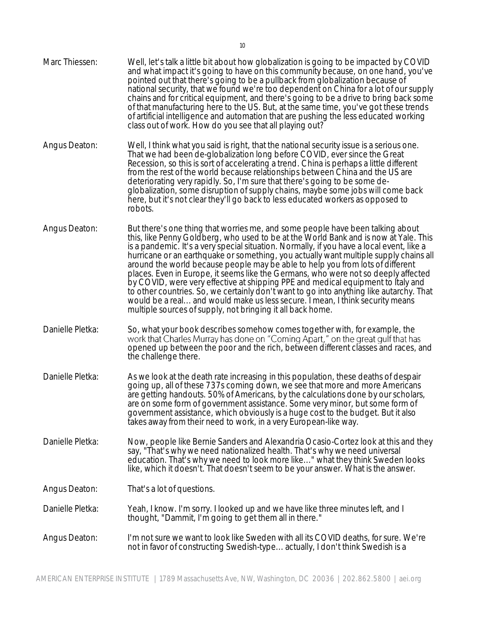Marc Thiessen: Well, let's talk a little bit about how globalization is going to be impacted by COVID and what impact it's going to have on this community because, on one hand, you've pointed out that there's going to be a pullback from globalization because of national security, that we found we're too dependent on China for a lot of our supply chains and for critical equipment, and there's going to be a drive to bring back some of that manufacturing here to the US. But, at the same time, you've got these trends of artificial intelligence and automation that are pushing the less educated working class out of work. How do you see that all playing out? Angus Deaton: Well, I think what you said is right, that the national security issue is a serious one. That we had been de-globalization long before COVID, ever since the Great Recession, so this is sort of accelerating a trend. China is perhaps a little different from the rest of the world because relationships between China and the US are deteriorating very rapidly. So, I'm sure that there's going to be some deglobalization, some disruption of supply chains, maybe some jobs will come back here, but it's not clear they'll go back to less educated workers as opposed to robots. Angus Deaton: But there's one thing that worries me, and some people have been talking about this, like Penny Goldberg, who used to be at the World Bank and is now at Yale. This is a pandemic. It's a very special situation. Normally, if you have a local event, like a hurricane or an earthquake or something, you actually want multiple supply chains all around the world because people may be able to help you from lots of different places. Even in Europe, it seems like the Germans, who were not so deeply affected by COVID, were very effective at shipping PPE and medical equipment to Italy and to other countries. So, we certainly don't want to go into anything like autarchy. That would be a real... and would make us less secure. I mean, I think security means multiple sources of supply, not bringing it all back home. Danielle Pletka: So, what your book describes somehow comes together with, for example, the work that Charles Murray has done on "Coming Apart," on the great gulf that has<br>opened up between the poor and the rich, between different classes and races, and the challenge there. Danielle Pletka: As we look at the death rate increasing in this population, these deaths of despair going up, all of these 737s coming down, we see that more and more Americans are getting handouts. 50% of Americans, by the calculations done by our scholars, are on some form of government assistance. Some very minor, but some form of government assistance, which obviously is a huge cost to the budget. But it also takes away from their need to work, in a very European-like way. Danielle Pletka: Now, people like Bernie Sanders and Alexandria Ocasio-Cortez look at this and they say, "That's why we need nationalized health. That's why we need universal

Angus Deaton: That's a lot of questions.

Danielle Pletka: Yeah, I know. I'm sorry. I looked up and we have like three minutes left, and I thought, "Dammit, I'm going to get them all in there."

Angus Deaton: I'm not sure we want to look like Sweden with all its COVID deaths, for sure. We're not in favor of constructing Swedish-type... actually, I don't think Swedish is a

education. That's why we need to look more like..." what they think Sweden looks like, which it doesn't. That doesn't seem to be your answer. What is the answer.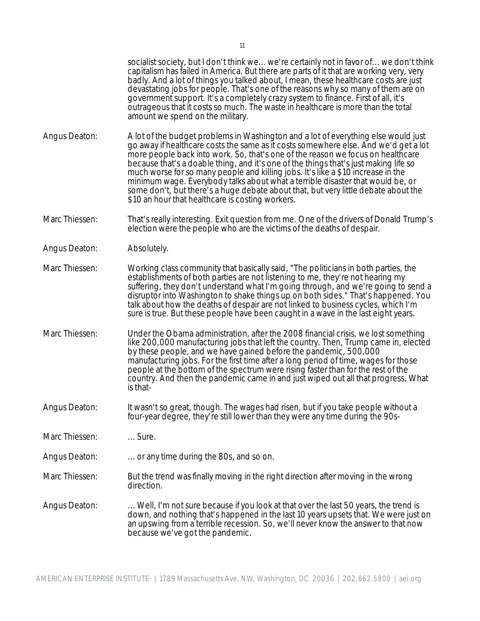socialist society, but I don't think we... we're certainly not in favor of... we don't think capitalism has failed in America. But there are parts of it that are working very, very badly. And a lot of things you talked about, I mean, these healthcare costs are just devastating jobs for people. That's one of the reasons why so many of them are on government support. It's a completely crazy system to finance. First of all, it's outrageous that it costs so much. The waste in healthcare is more than the total amount we spend on the military.

- Angus Deaton: A lot of the budget problems in Washington and a lot of everything else would just go away if healthcare costs the same as it costs somewhere else. And we'd get a lot more people back into work. So, that's one of the reason we focus on healthcare because that's a doable thing, and it's one of the things that's just making life so much worse for so many people and killing jobs. It's like a \$10 increase in the minimum wage. Everybody talks about what a terrible disaster that would be, or some don't, but there's a huge debate about that, but very little debate about the \$10 an hour that healthcare is costing workers.
- Marc Thiessen: That's really interesting. Exit question from me. One of the drivers of Donald Trump's election were the people who are the victims of the deaths of despair.
- Angus Deaton: Absolutely.
- Marc Thiessen: Working class community that basically said, "The politicians in both parties, the establishments of both parties are not listening to me, they're not hearing my suffering, they don't understand what I'm going through, and we're going to send a disruptor into Washington to shake things up on both sides." That's happened. You talk about how the deaths of despair are not linked to business cycles, which I'm sure is true. But these people have been caught in a wave in the last eight years.
- Marc Thiessen: Under the Obama administration, after the 2008 financial crisis, we lost something like 200,000 manufacturing jobs that left the country. Then, Trump came in, elected by these people, and we have gained before the pandemic, 500,000 manufacturing jobs. For the first time after a long period of time, wages for those people at the bottom of the spectrum were rising faster than for the rest of the country. And then the pandemic came in and just wiped out all that progress. What is that-
- Angus Deaton: It wasn't so great, though. The wages had risen, but if you take people without a four-year degree, they're still lower than they were any time during the 90s-

Marc Thiessen: ... Sure.

Angus Deaton: ... or any time during the 80s, and so on.

Marc Thiessen: But the trend was finally moving in the right direction after moving in the wrong direction.

Angus Deaton: ... Well, I'm not sure because if you look at that over the last 50 years, the trend is down, and nothing that's happened in the last 10 years upsets that. We were just on an upswing from a terrible recession. So, we'll never know the answer to that now because we've got the pandemic.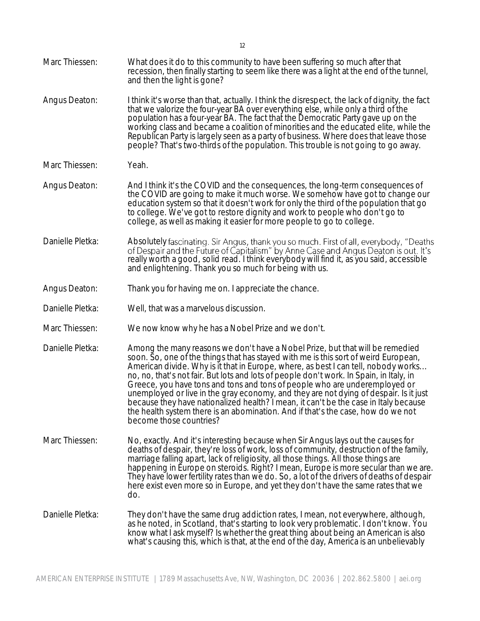| Marc Thiessen:   | What does it do to this community to have been suffering so much after that<br>recession, then finally starting to seem like there was a light at the end of the tunnel,<br>and then the light is gone?                                                                                                                                                                                                                                                                                                                                                                                                                                                                                                                             |
|------------------|-------------------------------------------------------------------------------------------------------------------------------------------------------------------------------------------------------------------------------------------------------------------------------------------------------------------------------------------------------------------------------------------------------------------------------------------------------------------------------------------------------------------------------------------------------------------------------------------------------------------------------------------------------------------------------------------------------------------------------------|
| Angus Deaton:    | I think it's worse than that, actually. I think the disrespect, the lack of dignity, the fact<br>that we valorize the four-year BA over everything else, while only a third of the<br>population has a four-year BA. The fact that the Democratic Party gave up on the<br>working class and became a coalition of minorities and the educated elite, while the<br>Republican Party is largely seen as a party of business. Where does that leave those<br>people? That's two-thirds of the population. This trouble is not going to go away.                                                                                                                                                                                        |
| Marc Thiessen:   | Yeah.                                                                                                                                                                                                                                                                                                                                                                                                                                                                                                                                                                                                                                                                                                                               |
| Angus Deaton:    | And I think it's the COVID and the consequences, the long-term consequences of<br>the COVID are going to make it much worse. We somehow have got to change our<br>education system so that it doesn't work for only the third of the population that go<br>to college. We've got to restore dignity and work to people who don't go to<br>college, as well as making it easier for more people to go to college.                                                                                                                                                                                                                                                                                                                    |
| Danielle Pletka: | Absolutely fascinating. Sir Angus, thank you so much. First of all, everybody, "Deaths<br>of Despair and the Future of Capitalism" by Anne Case and Angus Deaton is out. It's<br>really worth a good, solid read. I think everybody will find it, as you said, accessible<br>and enlightening. Thank you so much for being with us.                                                                                                                                                                                                                                                                                                                                                                                                 |
| Angus Deaton:    | Thank you for having me on. I appreciate the chance.                                                                                                                                                                                                                                                                                                                                                                                                                                                                                                                                                                                                                                                                                |
| Danielle Pletka: | Well, that was a marvelous discussion.                                                                                                                                                                                                                                                                                                                                                                                                                                                                                                                                                                                                                                                                                              |
| Marc Thiessen:   | We now know why he has a Nobel Prize and we don't.                                                                                                                                                                                                                                                                                                                                                                                                                                                                                                                                                                                                                                                                                  |
| Danielle Pletka: | Among the many reasons we don't have a Nobel Prize, but that will be remedied<br>soon. So, one of the things that has stayed with me is this sort of weird European,<br>American divide. Why is it that in Europe, where, as best I can tell, nobody works<br>no, no, that's not fair. But lots and lots of people don't work. In Spain, in Italy, in<br>Greece, you have tons and tons and tons of people who are underemployed or<br>unemployed or live in the gray economy, and they are not dying of despair. Is it just<br>because they have nationalized health? I mean, it can't be the case in Italy because<br>the health system there is an abomination. And if that's the case, how do we not<br>become those countries? |
| Marc Thiessen:   | No, exactly. And it's interesting because when Sir Angus lays out the causes for<br>deaths of despair, they're loss of work, loss of community, destruction of the family,<br>marriage falling apart, lack of religiosity, all those things. All those things are<br>happening in Europe on steroids. Right? I mean, Europe is more secular than we are.<br>They have lower fertility rates than we do. So, a lot of the drivers of deaths of despair<br>here exist even more so in Europe, and yet they don't have the same rates that we<br>do.                                                                                                                                                                                   |
| Danielle Pletka: | They don't have the same drug addiction rates, I mean, not everywhere, although,<br>as he noted, in Scotland, that's starting to look very problematic. I don't know. You<br>know what I ask myself? Is whether the great thing about being an American is also<br>what's causing this, which is that, at the end of the day, America is an unbelievably                                                                                                                                                                                                                                                                                                                                                                            |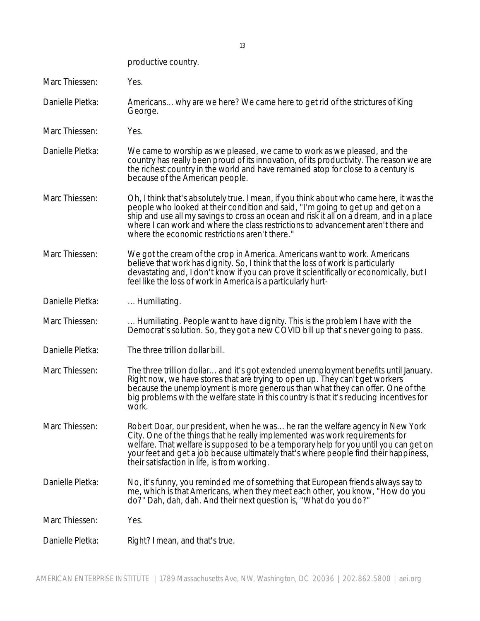productive country.

Marc Thiessen: Yes.

- Danielle Pletka: Americans... why are we here? We came here to get rid of the strictures of King George.
- Marc Thiessen: Yes.
- Danielle Pletka: We came to worship as we pleased, we came to work as we pleased, and the country has really been proud of its innovation, of its productivity. The reason we are the richest country in the world and have remained atop for close to a century is because of the American people.
- Marc Thiessen: Oh, I think that's absolutely true. I mean, if you think about who came here, it was the people who looked at their condition and said, "I'm going to get up and get on a ship and use all my savings to cross an ocean and risk it all on a dream, and in a place where I can work and where the class restrictions to advancement aren't there and where the economic restrictions aren't there."
- Marc Thiessen: We got the cream of the crop in America. Americans want to work. Americans believe that work has dignity. So, I think that the loss of work is particularly devastating and, I don't know if you can prove it scientifically or economically, but I feel like the loss of work in America is a particularly hurt-
- Danielle Pletka: ... Humiliating.
- Marc Thiessen: ... Humiliating. People want to have dignity. This is the problem I have with the Democrat's solution. So, they got a new COVID bill up that's never going to pass.
- Danielle Pletka: The three trillion dollar bill.
- Marc Thiessen: The three trillion dollar... and it's got extended unemployment benefits until January. Right now, we have stores that are trying to open up. They can't get workers because the unemployment is more generous than what they can offer. One of the big problems with the welfare state in this country is that it's reducing incentives for work.
- Marc Thiessen: Robert Doar, our president, when he was... he ran the welfare agency in New York City. One of the things that he really implemented was work requirements for welfare. That welfare is supposed to be a temporary help for you until you can get on your feet and get a job because ultimately that's where people find their happiness, their satisfaction in life, is from working.
- Danielle Pletka: No, it's funny, you reminded me of something that European friends always say to me, which is that Americans, when they meet each other, you know, "How do you do?" Dah, dah, dah. And their next question is, "What do you do?"

Marc Thiessen: Yes.

Danielle Pletka: Right? I mean, and that's true.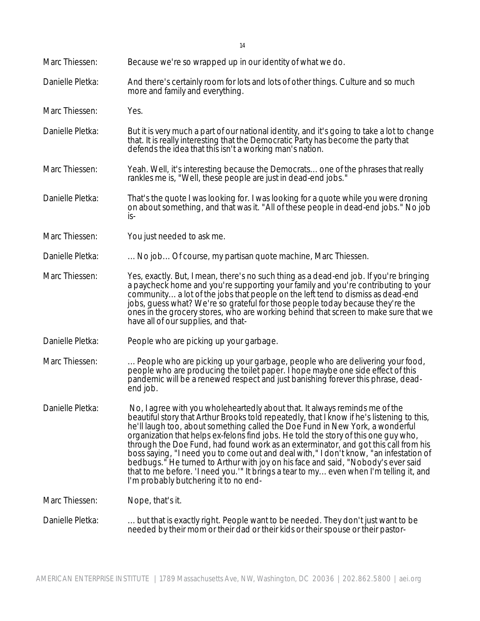- Marc Thiessen: You just needed to ask me.
- Danielle Pletka: ... No job... Of course, my partisan quote machine, Marc Thiessen.
- Marc Thiessen: Yes, exactly. But, I mean, there's no such thing as a dead-end job. If you're bringing a paycheck home and you're supporting your family and you're contributing to your community... a lot of the jobs that people on the left tend to dismiss as dead-end jobs, guess what? We're so grateful for those people today because they're the ones in the grocery stores, who are working behind that screen to make sure that we have all of our supplies, and that-
- Danielle Pletka: People who are picking up your garbage.
- Marc Thiessen: ... People who are picking up your garbage, people who are delivering your food, people who are producing the toilet paper. I hope maybe one side effect of this pandemic will be a renewed respect and just banishing forever this phrase, deadend job.
- Danielle Pletka: No, I agree with you wholeheartedly about that. It always reminds me of the beautiful story that Arthur Brooks told repeatedly, that I know if he's listening to this, he'll laugh too, about something called the Doe Fund in New York, a wonderful organization that helps ex-felons find jobs. He told the story of this one guy who, through the Doe Fund, had found work as an exterminator, and got this call from his boss saying, "I need you to come out and deal with," I don't know, "an infestation of bedbugs." He turned to Arthur with joy on his face and said, "Nobody's ever said that to me before. 'I need you.'" It brings a tear to my... even when I'm telling it, and I'm probably butchering it to no end-

Marc Thiessen: Nope, that's it.

Danielle Pletka: ... but that is exactly right. People want to be needed. They don't just want to be needed by their mom or their dad or their kids or their spouse or their pastor-